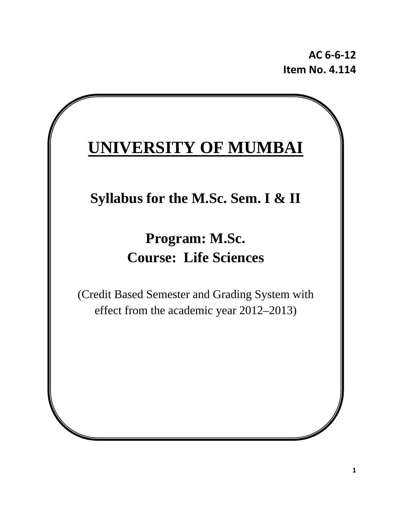**AC 6‐6‐12 Item No. 4.114**

# **UNIVERSITY OF MUMBAI**

## **Syllabus for the M.Sc. Sem. I & II**

## **Program: M.Sc. Course: Life Sciences**

(Credit Based Semester and Grading System with effect from the academic year 2012–2013)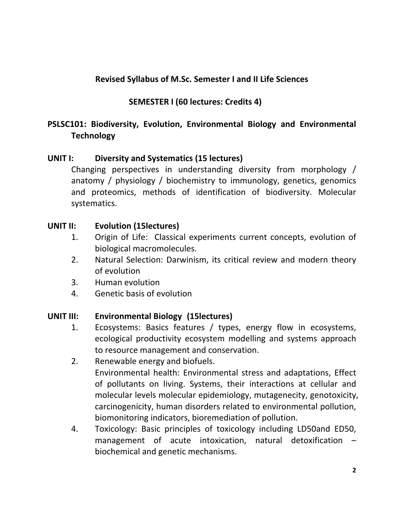## **Revised Syllabus of M.Sc. Semester I and II Life Sciences**

 **SEMESTER I (60 lectures: Credits 4)**

## **PSLSC101: Biodiversity, Evolution, Environmental Biology and Environmental Technology**

## **UNIT I: Diversity and Systematics (15 lectures))**

Changing perspectives in understanding diversity from morphology / anatomy / physiology / biochemistry to immunology, genetics, genomics and proteomics, methods of identification of biodiversity. Molecular systematics.

## **UNIT II: Evolution (15lectures))**

- 1. Origin of Life: Classical experiments current concepts, evolution of biological macromolecules.
- 2. Natural Selection: Darwinism, its critical review and modern theory of evolution
- 3. Human evolution
- 4. Genetic basis of evolution

#### **UNIT III: Environmental Biology ((15lectures))**

- 1. Ecosystems: Basics features / types, energy flow in ecosystems, ecological productivity ecosystem modelling and systems approach to resource management and conservation.
- 2. Renewable energy and biofuels. Environmental health: Environmental stress and adaptations, Effect of pollutants on living. Systems, their interactions at cellular and molecular levels molecular epidemiology, mutagenecity, genotoxicity, carcinogenicity, human disorders related to environmental pollution, biomonitoring indicators, bioremediation of pollution.
- 4. Toxicology: Basic principles of toxicology including LD50and ED50, management of acute intoxication, natural detoxification – biochemical and genetic mechanisms.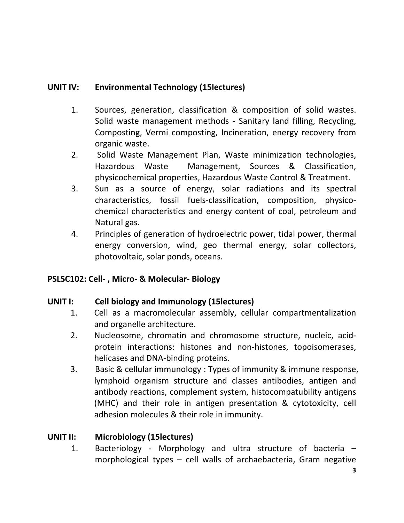## **UNIT IV: Environmental Technology (15lectures)**

- 1. Sources, generation, classification & composition of solid wastes. Solid waste management methods ‐ Sanitary land filling, Recycling, Composting, Vermi composting, Incineration, energy recovery from organic waste.
- 2. Solid Waste Management Plan, Waste minimization technologies, Hazardous Waste Management, Sources & Classification, physicochemical properties, Hazardous Waste Control & Treatment.
- 3. Sun as a source of energy, solar radiations and its spectral characteristics, fossil fuels‐classification, composition, physico‐ chemical characteristics and energy content of coal, petroleum and Natural gas.
- 4. Principles of generation of hydroelectric power, tidal power, thermal energy conversion, wind, geo thermal energy, solar collectors, photovoltaic, solar ponds, oceans.

## **PSLSC102: Cell‐ , Micro‐ & Molecular‐ Biology**

#### **UNIT I: Cell biology and Immunology (15lectures) (25 lectures)**

- 1. Cell as a macromolecular assembly, cellular compartmentalization and organelle architecture.
- 2. Nucleosome, chromatin and chromosome structure, nucleic, acid‐ protein interactions: histones and non‐histones, topoisomerases, helicases and DNA‐binding proteins.
- 3. Basic & cellular immunology : Types of immunity & immune response, lymphoid organism structure and classes antibodies, antigen and antibody reactions, complement system, histocompatubility antigens (MHC) and their role in antigen presentation & cytotoxicity, cell adhesion molecules & their role in immunity.

## **UNIT II: Microbiology (15lectures)**

1. Bacteriology ‐ Morphology and ultra structure of bacteria – morphological types – cell walls of archaebacteria, Gram negative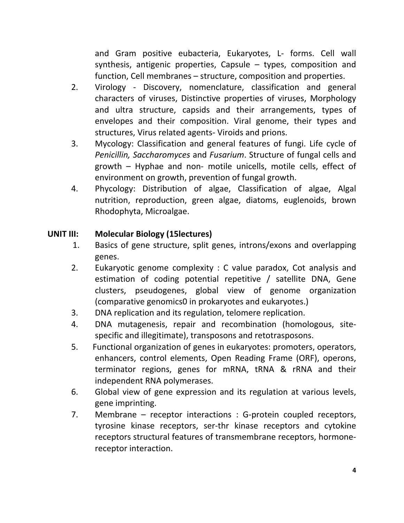and Gram positive eubacteria, Eukaryotes, L‐ forms. Cell wall synthesis, antigenic properties, Capsule – types, composition and function, Cell membranes – structure, composition and properties.

- 2. Virology Discovery, nomenclature, classification and general characters of viruses, Distinctive properties of viruses, Morphology and ultra structure, capsids and their arrangements, types of envelopes and their composition. Viral genome, their types and structures, Virus related agents‐ Viroids and prions.
- 3. Mycology: Classification and general features of fungi. Life cycle of *Penicillin, Saccharomyces* and *Fusarium*. Structure of fungal cells and growth – Hyphae and non‐ motile unicells, motile cells, effect of environment on growth, prevention of fungal growth.
- 4. Phycology: Distribution of algae, Classification of algae, Algal nutrition, reproduction, green algae, diatoms, euglenoids, brown Rhodophyta, Microalgae.

## **UNIT III: Molecular Biology (15lectures)**

- **(50 l )**1. Basics of gene structure, split genes, introns/exons and overlapping genes.
- 2. Eukaryotic genome complexity : C value paradox, Cot analysis and estimation of coding potential repetitive / satellite DNA, Gene clusters, pseudogenes, global view of genome organization (comparative genomics0 in prokaryotes and eukaryotes.)
- 3. DNA replication and its regulation, telomere replication.
- 4. DNA mutagenesis, repair and recombination (homologous, site‐ specific and illegitimate), transposons and retotrasposons.
- 5. Functional organization of genes in eukaryotes: promoters, operators, enhancers, control elements, Open Reading Frame (ORF), operons, terminator regions, genes for mRNA, tRNA & rRNA and their independent RNA polymerases.
- 6. Global view of gene expression and its regulation at various levels, gene imprinting.
- 7. Membrane receptor interactions : G-protein coupled receptors, tyrosine kinase receptors, ser‐thr kinase receptors and cytokine receptors structural features of transmembrane receptors, hormone‐ receptor interaction.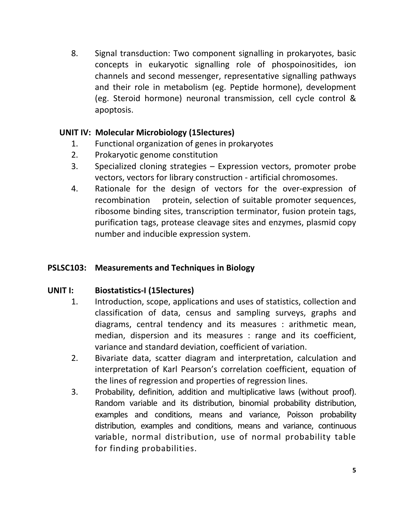8. Signal transduction: Two component signalling in prokaryotes, basic concepts in eukaryotic signalling role of phospoinositides, ion channels and second messenger, representative signalling pathways and their role in metabolism (eg. Peptide hormone), development (eg. Steroid hormone) neuronal transmission, cell cycle control & apoptosis.

## **UNIT IV: Molecular Microbiology (15lectures)**

- 1. Functional organization of genes in prokaryotes
- 2. Prokaryotic genome constitution
- 3. Specialized cloning strategies Expression vectors, promoter probe vectors, vectors for library construction ‐ artificial chromosomes.
- 4. Rationale for the design of vectors for the over-expression of recombination protein, selection of suitable promoter sequences, ribosome binding sites, transcription terminator, fusion protein tags, purification tags, protease cleavage sites and enzymes, plasmid copy number and inducible expression system.

## **PSLSC103: Measurements and Techniques in Biology**

#### **UNIT I: Biostatistics‐I (15lectures)**

- 1. Introduction, scope, applications and uses of statistics, collection and classification of data, census and sampling surveys, graphs and diagrams, central tendency and its measures : arithmetic mean, median, dispersion and its measures : range and its coefficient, variance and standard deviation, coefficient of variation.
- 2. Bivariate data, scatter diagram and interpretation, calculation and interpretation of Karl Pearson's correlation coefficient, equation of the lines of regression and properties of regression lines.
- 3. Probability, definition, addition and multiplicative laws (without proof). Random variable and its distribution, binomial probability distribution, examples and conditions, means and variance, Poisson probability distribution, examples and conditions, means and variance, continuous variable, normal distribution, use of normal probability table for finding probabilities.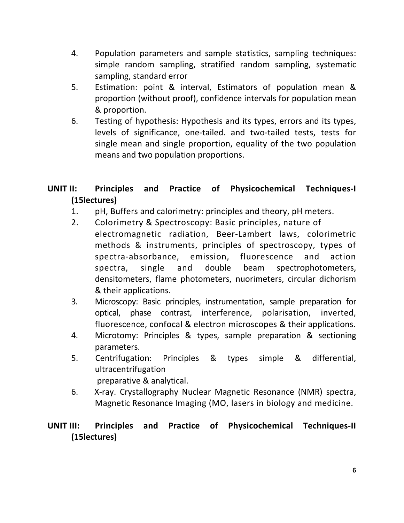- 4. Population parameters and sample statistics, sampling techniques: simple random sampling, stratified random sampling, systematic sampling, standard error
- 5. Estimation: point & interval, Estimators of population mean & proportion (without proof), confidence intervals for population mean & proportion.
- 6. Testing of hypothesis: Hypothesis and its types, errors and its types, levels of significance, one-tailed. and two-tailed tests, tests for single mean and single proportion, equality of the two population means and two population proportions.

## **UNIT II: Principles and Practice of Physicochemical Techniques‐I (15lectures) (30 le**

- 1. pH, Buffers and calorimetry: principles and theory, pH meters.
- 2. Colorimetry & Spectroscopy: Basic principles, nature of electromagnetic radiation, Beer‐Lambert laws, colorimetric methods & instruments, principles of spectroscopy, types of spectra‐absorbance, emission, fluorescence and action spectra, single and double beam spectrophotometers, densitometers, flame photometers, nuorimeters, circular dichorism & their applications.
- 3. Microscopy: Basic principles, instrumentation, sample preparation for optical, phase contrast, interference, polarisation, inverted, fluorescence, confocal & electron microscopes & their applications.
- 4. Microtomy: Principles & types, sample preparation & sectioning parameters.
- 5. Centrifugation: Principles & types simple & differential, ultracentrifugation preparative & analytical.
- 6. X‐ray. Crystallography Nuclear Magnetic Resonance (NMR) spectra, Magnetic Resonance Imaging (MO, lasers in biology and medicine.

## **UNIT III: Principles and Practice of Physicochemical Techniques‐II (15lectures) (30**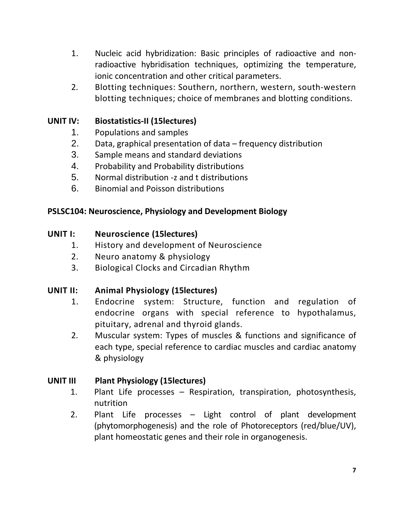- 1. Nucleic acid hybridization: Basic principles of radioactive and nonradioactive hybridisation techniques, optimizing the temperature, ionic concentration and other critical parameters.
- 2. Blotting techniques: Southern, northern, western, south‐western blotting techniques; choice of membranes and blotting conditions.

## **UNIT IV: Biostatistics‐II (15lectures)**

- 1. Populations and samples
- 2. Data, graphical presentation of data frequency distribution
- 3. Sample means and standard deviations
- 4. Probability and Probability distributions
- 5. Normal distribution ‐z and t distributions
- 6. Binomial and Poisson distributions

## **PSLSC104: Neuroscience, Physiology and Development Biology**

#### **UNIT I: Neuroscience (15lectures)**

- 1. History and development of Neuroscience
- 2. Neuro anatomy & physiology
- 3. Biological Clocks and Circadian Rhythm

## **UNIT II: Animal Physiology (15lectures) (20 lectures)**

- 1. Endocrine system: Structure, function and regulation of endocrine organs with special reference to hypothalamus, pituitary, adrenal and thyroid glands.
- 2. Muscular system: Types of muscles & functions and significance of each type, special reference to cardiac muscles and cardiac anatomy & physiology

#### **UNIT III Plant Physiology (15lectures) (15 Lectures)**

- 1. Plant Life processes Respiration, transpiration, photosynthesis, nutrition
- 2. Plant Life processes Light control of plant development (phytomorphogenesis) and the role of Photoreceptors (red/blue/UV), plant homeostatic genes and their role in organogenesis.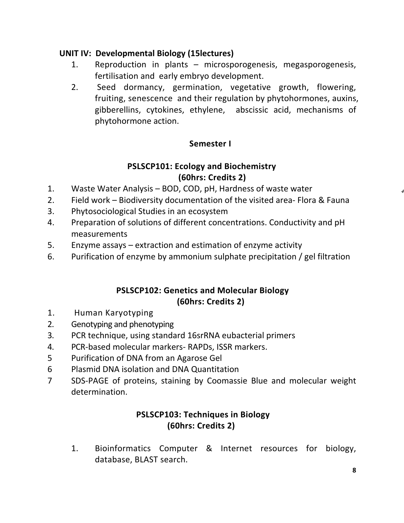## **UNIT IV: Developmental Biology (15lectures)**

- 1. Reproduction in plants microsporogenesis, megasporogenesis, fertilisation and early embryo development.
- 2. Seed dormancy, germination, vegetative growth, flowering, fruiting, senescence and their regulation by phytohormones, auxins, gibberellins, cytokines, ethylene, abscissic acid, mechanisms of phytohormone action.

## **Semester I**

## **PSLSCP101: Ecology and Biochemistry (60hrs: Credits 2)**

- 1. Waste Water Analysis BOD, COD, pH, Hardness of waste water
- 2. Field work Biodiversity documentation of the visited area‐ Flora & Fauna
- 3. Phytosociological Studies in an ecosystem
- 4. Preparation of solutions of different concentrations. Conductivity and pH measurements
- 5. Enzyme assays extraction and estimation of enzyme activity
- 6. Purification of enzyme by ammonium sulphate precipitation / gel filtration

## **PSLSCP102: Genetics and Molecular Biology (60hrs: Credits 2)**

- 1. Human Karyotyping
- 2. Genotyping and phenotyping
- 3. PCR technique, using standard 16srRNA eubacterial primers
- 4. PCR‐based molecular markers‐ RAPDs, ISSR markers.
- 5 Purification of DNA from an Agarose Gel
- 6 Plasmid DNA isolation and DNA Quantitation
- 7 SDS‐PAGE of proteins, staining by Coomassie Blue and molecular weight determination.

## **PSLSCP103: Techniques in Biology (60hrs: Credits 2)**

1. Bioinformatics Computer & Internet resources for biology, database, BLAST search.

**4**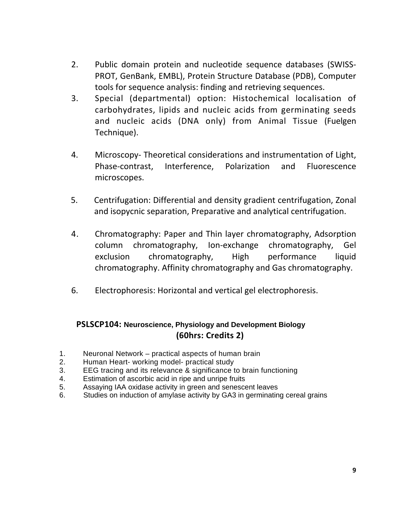- 2. Public domain protein and nucleotide sequence databases (SWISS‐ PROT, GenBank, EMBL), Protein Structure Database (PDB), Computer tools for sequence analysis: finding and retrieving sequences.
- 3. Special (departmental) option: Histochemical localisation of carbohydrates, lipids and nucleic acids from germinating seeds and nucleic acids (DNA only) from Animal Tissue (Fuelgen Technique).
- 4. Microscopy‐ Theoretical considerations and instrumentation of Light, Phase‐contrast, Interference, Polarization and Fluorescence microscopes.
- 5. Centrifugation: Differential and density gradient centrifugation, Zonal and isopycnic separation, Preparative and analytical centrifugation.
- 4. Chromatography: Paper and Thin layer chromatography, Adsorption column chromatography, Ion‐exchange chromatography, Gel exclusion chromatography, High performance liquid chromatography. Affinity chromatography and Gas chromatography.
- 6. Electrophoresis: Horizontal and vertical gel electrophoresis.

#### **PSLSCP104: Neuroscience, Physiology and Development Biology (60hrs: Credits 2)**

- 1. Neuronal Network practical aspects of human brain
- 2. Human Heart- working model- practical study
- 3. EEG tracing and its relevance & significance to brain functioning
- 4. Estimation of ascorbic acid in ripe and unripe fruits
- 5. Assaying IAA oxidase activity in green and senescent leaves
- 6. Studies on induction of amylase activity by GA3 in germinating cereal grains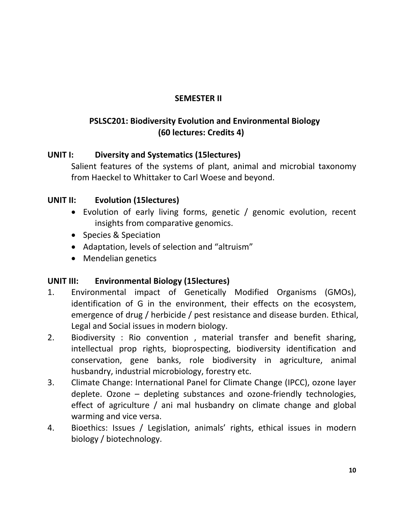## **SEMESTER II**

## **PSLSC201: Biodiversity Evolution and Environmental Biology (60 lectures: Credits 4)**

## **UNIT I: Diversity and Systematics (15lectures) (20 lectures)**

Salient features of the systems of plant, animal and microbial taxonomy from Haeckel to Whittaker to Carl Woese and beyond.

## **UNIT II: Evolution (15lectures) 35 lectures)**

- Evolution of early living forms, genetic / genomic evolution, recent insights from comparative genomics.
- Species & Speciation
- Adaptation, levels of selection and "altruism"
- Mendelian genetics

## **UNIT III: Environmental Biology (15lectures)**

- 1. Environmental impact of Genetically Modified Organisms (GMOs), identification of G in the environment, their effects on the ecosystem, emergence of drug / herbicide / pest resistance and disease burden. Ethical, Legal and Social issues in modern biology.
- 2. Biodiversity : Rio convention , material transfer and benefit sharing, intellectual prop rights, bioprospecting, biodiversity identification and conservation, gene banks, role biodiversity in agriculture, animal husbandry, industrial microbiology, forestry etc.
- 3. Climate Change: International Panel for Climate Change (IPCC), ozone layer deplete. Ozone – depleting substances and ozone‐friendly technologies, effect of agriculture / ani mal husbandry on climate change and global warming and vice versa.
- 4. Bioethics: Issues / Legislation, animals' rights, ethical issues in modern biology / biotechnology.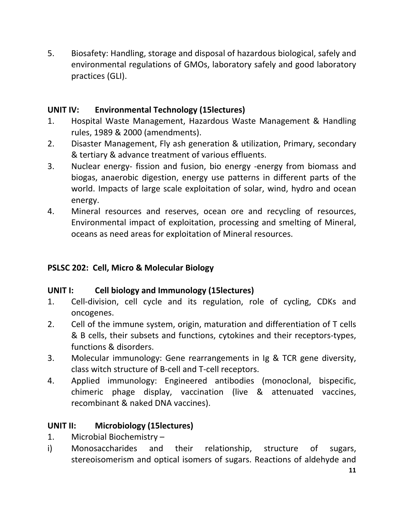5. Biosafety: Handling, storage and disposal of hazardous biological, safely and environmental regulations of GMOs, laboratory safely and good laboratory practices (GLI).

## **UNIT IV: Environmental Technology (15lectures)**

- 1. Hospital Waste Management, Hazardous Waste Management & Handling rules, 1989 & 2000 (amendments).
- 2. Disaster Management, Fly ash generation & utilization, Primary, secondary & tertiary & advance treatment of various effluents.
- 3. Nuclear energy- fission and fusion, bio energy -energy from biomass and biogas, anaerobic digestion, energy use patterns in different parts of the world. Impacts of large scale exploitation of solar, wind, hydro and ocean energy.
- 4. Mineral resources and reserves, ocean ore and recycling of resources, Environmental impact of exploitation, processing and smelting of Mineral, oceans as need areas for exploitation of Mineral resources.

## **PSLSC 202: Cell, Micro & Molecular Biology**

#### **UNIT I: Cell biology and Immunology (15lectures) (25 lectures)**

- 1. Cell-division, cell cycle and its regulation, role of cycling, CDKs and oncogenes.
- 2. Cell of the immune system, origin, maturation and differentiation of T cells & B cells, their subsets and functions, cytokines and their receptors‐types, functions & disorders.
- 3. Molecular immunology: Gene rearrangements in Ig & TCR gene diversity, class witch structure of B‐cell and T‐cell receptors.
- 4. Applied immunology: Engineered antibodies (monoclonal, bispecific, chimeric phage display, vaccination (live & attenuated vaccines, recombinant & naked DNA vaccines).

#### **UNIT II: Microbiology (15lectures)**

- 1. Microbial Biochemistry –
- i) Monosaccharides and their relationship, structure of sugars, stereoisomerism and optical isomers of sugars. Reactions of aldehyde and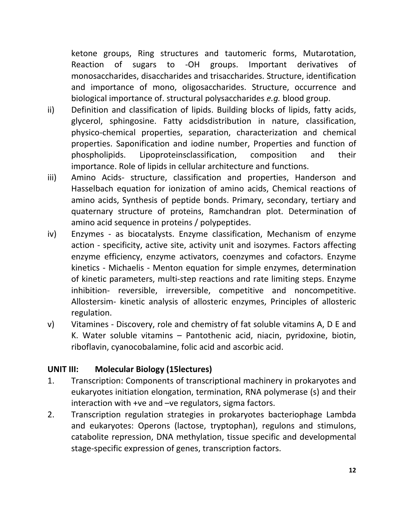ketone groups, Ring structures and tautomeric forms, Mutarotation, Reaction of sugars to ‐OH groups. Important derivatives of monosaccharides, disaccharides and trisaccharides. Structure, identification and importance of mono, oligosaccharides. Structure, occurrence and biological importance of. structural polysaccharides *e.g.* blood group.

- ii) Definition and classification of lipids. Building blocks of lipids, fatty acids, glycerol, sphingosine. Fatty acidsdistribution in nature, classification, physico‐chemical properties, separation, characterization and chemical properties. Saponification and iodine number, Properties and function of phospholipids. Lipoproteinsclassification, composition and their importance. Role of lipids in cellular architecture and functions.
- iii) Amino Acids- structure, classification and properties, Handerson and Hasselbach equation for ionization of amino acids, Chemical reactions of amino acids, Synthesis of peptide bonds. Primary, secondary, tertiary and quaternary structure of proteins, Ramchandran plot. Determination of amino acid sequence in proteins / polypeptides.
- iv) Enzymes as biocatalysts. Enzyme classification, Mechanism of enzyme action - specificity, active site, activity unit and isozymes. Factors affecting enzyme efficiency, enzyme activators, coenzymes and cofactors. Enzyme kinetics ‐ Michaelis ‐ Menton equation for simple enzymes, determination of kinetic parameters, multi‐step reactions and rate limiting steps. Enzyme inhibition- reversible, irreversible, competitive and noncompetitive. Allostersim‐ kinetic analysis of allosteric enzymes, Principles of allosteric regulation.
- v) Vitamines ‐ Discovery, role and chemistry of fat soluble vitamins A, D E and K. Water soluble vitamins – Pantothenic acid, niacin, pyridoxine, biotin, riboflavin, cyanocobalamine, folic acid and ascorbic acid.

## **UNIT III: Molecular Biology (15lectures) (50 lectures)**

- 1. Transcription: Components of transcriptional machinery in prokaryotes and eukaryotes initiation elongation, termination, RNA polymerase (s) and their interaction with +ve and –ve regulators, sigma factors.
- 2. Transcription regulation strategies in prokaryotes bacteriophage Lambda and eukaryotes: Operons (lactose, tryptophan), regulons and stimulons, catabolite repression, DNA methylation, tissue specific and developmental stage‐specific expression of genes, transcription factors.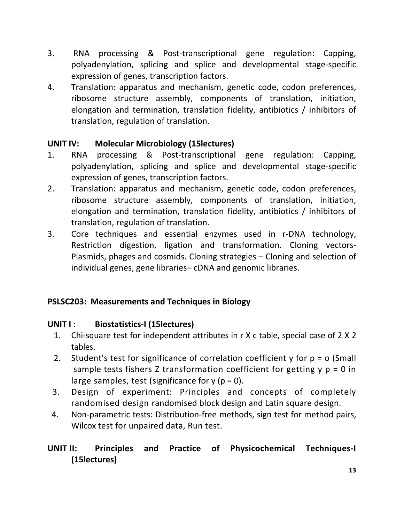- 3. RNA processing & Post‐transcriptional gene regulation: Capping, polyadenylation, splicing and splice and developmental stage‐specific expression of genes, transcription factors.
- 4. Translation: apparatus and mechanism, genetic code, codon preferences, ribosome structure assembly, components of translation, initiation, elongation and termination, translation fidelity, antibiotics / inhibitors of translation, regulation of translation.

## **UNIT IV: Molecular Microbiology (15lectures)**

- 1. RNA processing & Post‐transcriptional gene regulation: Capping, polyadenylation, splicing and splice and developmental stage‐specific expression of genes, transcription factors.
- 2. Translation: apparatus and mechanism, genetic code, codon preferences, ribosome structure assembly, components of translation, initiation, elongation and termination, translation fidelity, antibiotics / inhibitors of translation, regulation of translation.
- 3. Core techniques and essential enzymes used in r‐DNA technology, Restriction digestion, ligation and transformation. Cloning vectors‐ Plasmids, phages and cosmids. Cloning strategies – Cloning and selection of individual genes, gene libraries– cDNA and genomic libraries.

## **PSLSC203: Measurements and Techniques in Biology**

#### **UNIT I : Biostatistics‐I (15lectures) (30 lectures)**

- 1. Chi-square test for independent attributes in r X c table, special case of 2 X 2 tables.
- 2. Student's test for significance of correlation coefficient y for p = o (Small sample tests fishers Z transformation coefficient for getting  $y$   $p = 0$  in large samples, test (significance for  $y$  ( $p = 0$ ).
- 3. Design of experiment: Principles and concepts of completely randomised design randomised block design and Latin square design.
- 4. Non-parametric tests: Distribution-free methods, sign test for method pairs, Wilcox test for unpaired data, Run test.

## **UNIT II: Principles and Practice of Physicochemical Techniques‐I (15lectures)**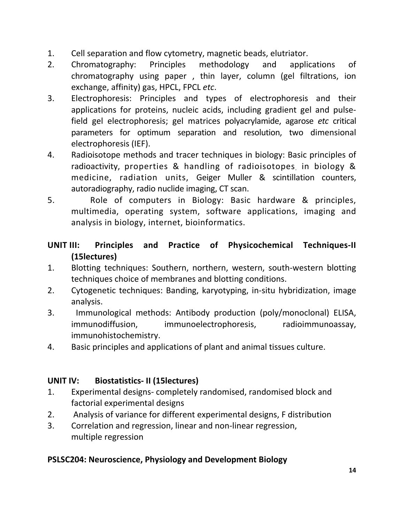- 1. Cell separation and flow cytometry, magnetic beads, elutriator.
- 2. Chromatography: Principles methodology and applications of chromatography using paper , thin layer, column (gel filtrations, ion exchange, affinity) gas, HPCL, FPCL *etc*.
- 3. Electrophoresis: Principles and types of electrophoresis and their applications for proteins, nucleic acids, including gradient gel and pulse‐ field gel electrophoresis; gel matrices polyacrylamide, agarose *etc* critical parameters for optimum separation and resolution, two dimensional electrophoresis (IEF).
- 4. Radioisotope methods and tracer techniques in biology: Basic principles of radioactivity, properties & handling of radioisotopes in biology & medicine, radiation units, Geiger Muller & scintillation counters, autoradiography, radio nuclide imaging, CT scan.
- 5. Role of computers in Biology: Basic hardware & principles, multimedia, operating system, software applications, imaging and analysis in biology, internet, bioinformatics.

## **UNIT III: Principles and Practice of Physicochemical Techniques‐II (15lectures) (30**

- 1. Blotting techniques: Southern, northern, western, south-western blotting techniques choice of membranes and blotting conditions.
- 2. Cytogenetic techniques: Banding, karyotyping, in‐situ hybridization, image analysis.
- 3. Immunological methods: Antibody production (poly/monoclonal) ELISA, immunodiffusion, immunoelectrophoresis, radioimmunoassay, immunohistochemistry.
- 4. Basic principles and applications of plant and animal tissues culture.

## **UNIT IV: Biostatistics‐ II (15lectures)**

- 1. Experimental designs‐ completely randomised, randomised block and factorial experimental designs
- 2. Analysis of variance for different experimental designs, F distribution
- 3. Correlation and regression, linear and non‐linear regression, multiple regression

## **PSLSC204: Neuroscience, Physiology and Development Biology**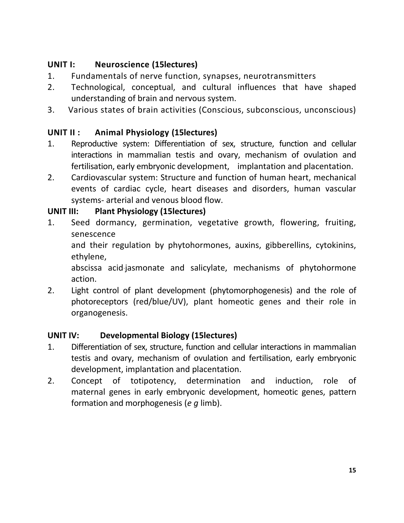## **UNIT I: Neuroscience (15lectures)**

- 1. Fundamentals of nerve function, synapses, neurotransmitters
- 2. Technological, conceptual, and cultural influences that have shaped understanding of brain and nervous system.
- 3. Various states of brain activities (Conscious, subconscious, unconscious)

## **UNIT II : Animal Physiology (15lectures) (20 lectures)**

- 1. Reproductive system: Differentiation of sex, structure, function and cellular interactions in mammalian testis and ovary, mechanism of ovulation and fertilisation, early embryonic development, implantation and placentation.
- 2. Cardiovascular system: Structure and function of human heart, mechanical events of cardiac cycle, heart diseases and disorders, human vascular systems‐ arterial and venous blood flow.

## **UNIT III: Plant Physiology (15lectures) (15 Lectures)**

1. Seed dormancy, germination, vegetative growth, flowering, fruiting, senescence

and their regulation by phytohormones, auxins, gibberellins, cytokinins, ethylene,

abscissa acid`jasmonate and salicylate, mechanisms of phytohormone action.

2. Light control of plant development (phytomorphogenesis) and the role of photoreceptors (red/blue/UV), plant homeotic genes and their role in organogenesis.

## **UNIT IV: Developmental Biology (15lectures)**

- 1. Differentiation of sex, structure, function and cellular interactions in mammalian testis and ovary, mechanism of ovulation and fertilisation, early embryonic development, implantation and placentation.
- 2. Concept of totipotency, determination and induction, role of maternal genes in early embryonic development, homeotic genes, pattern formation and morphogenesis (*e g* limb).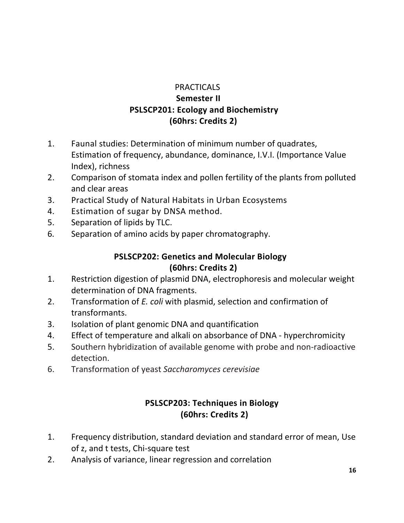## **PRACTICALS**

## **Semester II PSLSCP201: Ecology and Biochemistry (60hrs: Credits 2)**

- 1. Faunal studies: Determination of minimum number of quadrates, Estimation of frequency, abundance, dominance, I.V.I. (Importance Value Index), richness
- 2. Comparison of stomata index and pollen fertility of the plants from polluted and clear areas
- 3. Practical Study of Natural Habitats in Urban Ecosystems
- 4. Estimation of sugar by DNSA method.
- 5. Separation of lipids by TLC.
- 6. Separation of amino acids by paper chromatography.

## **PSLSCP202: Genetics and Molecular Biology (60hrs: Credits 2)**

- 1. Restriction digestion of plasmid DNA, electrophoresis and molecular weight determination of DNA fragments.
- 2. Transformation of *E. coli* with plasmid, selection and confirmation of transformants.
- 3. Isolation of plant genomic DNA and quantification
- 4. Effect of temperature and alkali on absorbance of DNA ‐ hyperchromicity
- 5. Southern hybridization of available genome with probe and non-radioactive detection.
- 6. Transformation of yeast *Saccharomyces cerevisiae*

## **PSLSCP203: Techniques in Biology (60hrs: Credits 2)**

- 1. Frequency distribution, standard deviation and standard error of mean, Use of z, and t tests, Chi‐square test
- 2. Analysis of variance, linear regression and correlation